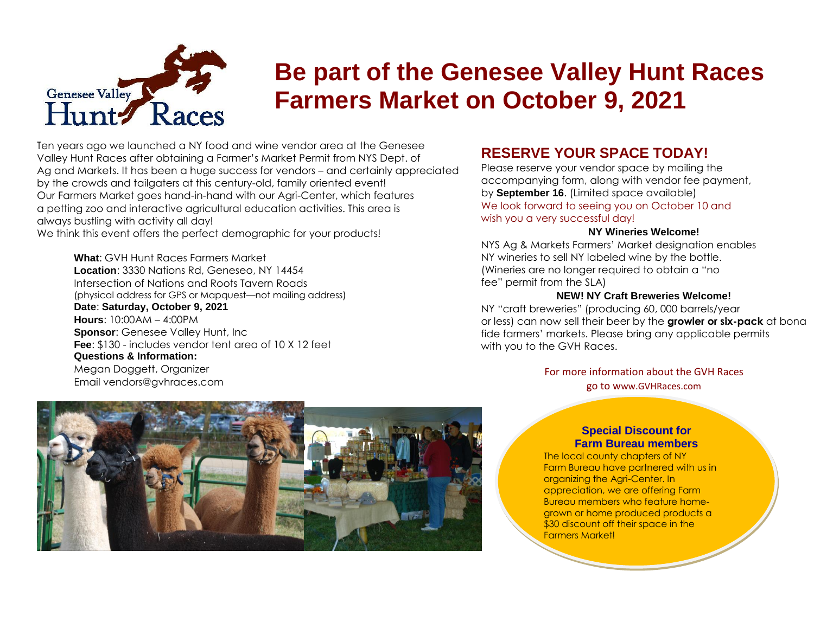

# **Be part of the Genesee Valley Hunt Races Farmers Market on October 9, 2021**

Ten years ago we launched a NY food and wine vendor area at the Genesee Valley Hunt Races after obtaining a Farmer's Market Permit from NYS Dept. of Ag and Markets. It has been a huge success for vendors – and certainly appreciated by the crowds and tailgaters at this century-old, family oriented event! Our Farmers Market goes hand-in-hand with our Agri-Center, which features a petting zoo and interactive agricultural education activities. This area is always bustling with activity all day!

We think this event offers the perfect demographic for your products!

**What**: GVH Hunt Races Farmers Market **Location**: 3330 Nations Rd, Geneseo, NY 14454 Intersection of Nations and Roots Tavern Roads (physical address for GPS or Mapquest—not mailing address) **Date**: **Saturday, October 9, 2021 Hours**: 10:00AM – 4:00PM **Sponsor: Genesee Valley Hunt, Inc. Fee**: \$130 - includes vendor tent area of 10 X 12 feet **Questions & Information:** Megan Doggett, Organizer Email vendors@gvhraces.com

### **RESERVE YOUR SPACE TODAY!**

Please reserve your vendor space by mailing the accompanying form, along with vendor fee payment, by **September 16**. (Limited space available) We look forward to seeing you on October 10 and wish you a very successful day!

### **NY Wineries Welcome!**

NYS Ag & Markets Farmers' Market designation enables NY wineries to sell NY labeled wine by the bottle. (Wineries are no longer required to obtain a "no fee" permit from the SLA)

### **NEW! NY Craft Breweries Welcome!**

NY "craft breweries" (producing 60, 000 barrels/year or less) can now sell their beer by the **growler or six-pack** at bona fide farmers' markets. Please bring any applicable permits with you to the GVH Races.

> For more information about the GVH Races go to www.GVHRaces.com



### **Special Discount for Farm Bureau members**

The local county chapters of NY Farm Bureau have partnered with us in organizing the Agri-Center. In appreciation, we are offering Farm Bureau members who feature homegrown or home produced products a \$30 discount off their space in the Farmers Market!